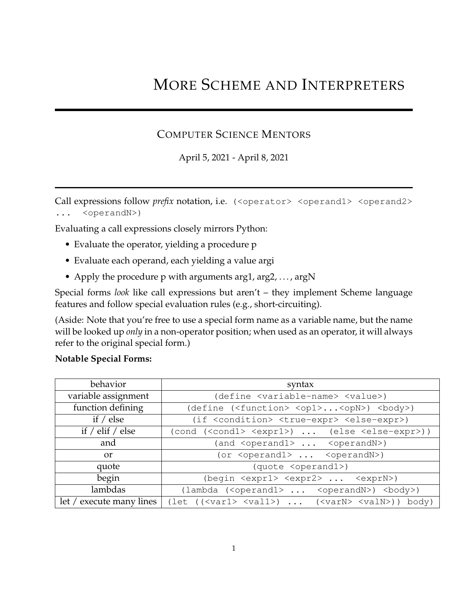# MORE SCHEME AND INTERPRETERS

### COMPUTER SCIENCE MENTORS

April 5, 2021 - April 8, 2021

Call expressions follow *prefix* notation, i.e. (<operator> <operand1> <operand2> ... <operandN>)

Evaluating a call expressions closely mirrors Python:

- Evaluate the operator, yielding a procedure p
- Evaluate each operand, each yielding a value argi
- Apply the procedure p with arguments arg1, arg2, ..., argN

Special forms *look* like call expressions but aren't – they implement Scheme language features and follow special evaluation rules (e.g., short-circuiting).

(Aside: Note that you're free to use a special form name as a variable name, but the name will be looked up *only* in a non-operator position; when used as an operator, it will always refer to the original special form.)

#### **Notable Special Forms:**

| behavior                 | syntax                                                                                                                                          |
|--------------------------|-------------------------------------------------------------------------------------------------------------------------------------------------|
| variable assignment      | (define <variable-name> <value>)</value></variable-name>                                                                                        |
| function defining        | (define ( <function> <op1><opn>) <br/> <br/>body&gt;)</opn></op1></function>                                                                    |
| if $/$ else              | (if <condition> <true-expr> <else-expr>)</else-expr></true-expr></condition>                                                                    |
| if $/$ elif $/$ else     | (cond ( <cond1> <expr1>)  (else <else-expr>))</else-expr></expr1></cond1>                                                                       |
| and                      | (and <operand1> <operandn>)</operandn></operand1>                                                                                               |
| <b>or</b>                | (or $\langle$ operand1> $\langle$ operandN>)                                                                                                    |
| quote                    | (quote <operand1>)</operand1>                                                                                                                   |
| begin                    | (begin <expr1> <expr2> <exprn>)</exprn></expr2></expr1>                                                                                         |
| lambdas                  | (lambda ( <operand1> <operandn>) <br/>body&gt;)</operandn></operand1>                                                                           |
| let / execute many lines | $(\text{let } (\langle \text{var1} \rangle \langle \text{val1} \rangle) \dots (\langle \text{varN} \rangle \langle \text{valN} \rangle))$ body) |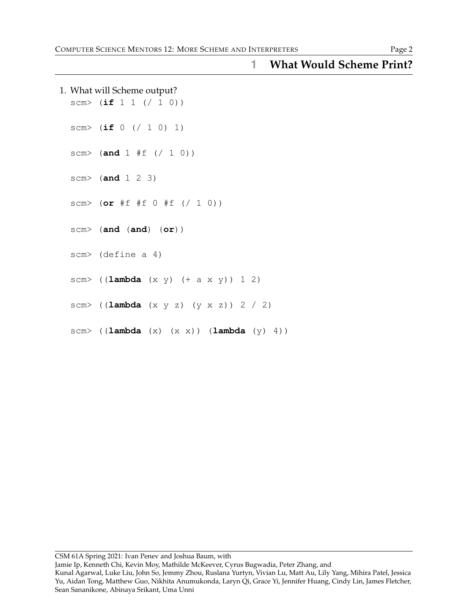|  | 1. What will Scheme output?<br>scm> $(if 1 1 (/ 1 0))$   |
|--|----------------------------------------------------------|
|  | scm> $(if 0 (/ 1 0) 1)$                                  |
|  | scm> (and $1 #f$ (/ 1 0))                                |
|  | scm> $(and 1 2 3)$                                       |
|  | scm> (or #f #f 0 #f (/ 1 0))                             |
|  | $scm$ (and (and) (or))                                   |
|  | scm> (define a 4)                                        |
|  | scm> $((\text{lambda} (x y) (+ a x y)) 1 2)$             |
|  | scm> $((\text{lambda} (x y z) (y x z)) 2 / 2)$           |
|  | scm> $((\text{lambda} (x) (x x)) (\text{lambda} (y) 4))$ |

## **1 What Would Scheme Print?**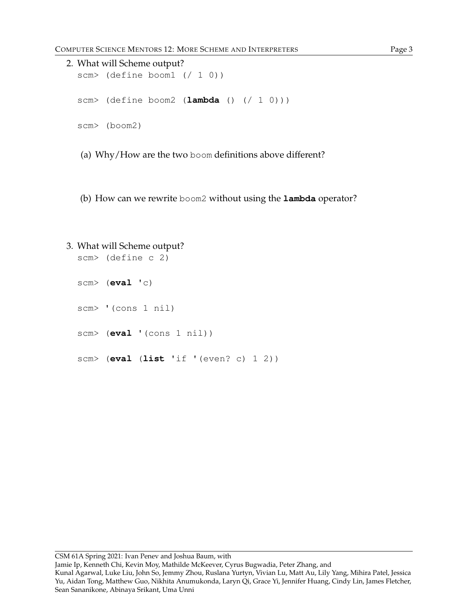```
2. What will Scheme output?
  scm> (define boom1 (/ 1 0))
  scm> (define boom2 (lambda () (/ 1 0)))
  scm> (boom2)
```
- (a) Why/How are the two boom definitions above different?
- (b) How can we rewrite boom2 without using the **lambda** operator?

```
3. What will Scheme output?
  scm> (define c 2)
  scm> (eval 'c)
  scm> '(cons 1 nil)
  scm> (eval '(cons 1 nil))
  scm> (eval (list 'if '(even? c) 1 2))
```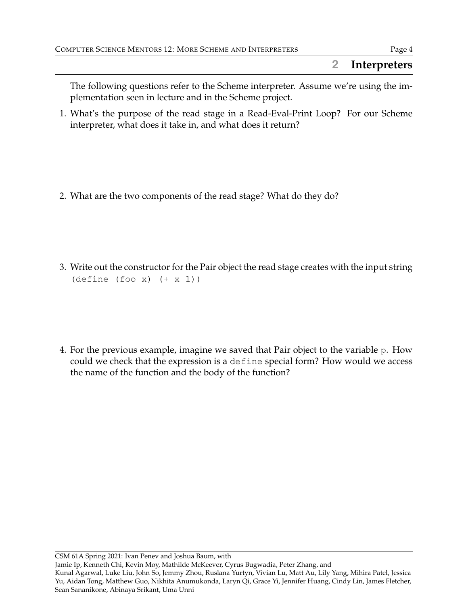## **2 Interpreters**

The following questions refer to the Scheme interpreter. Assume we're using the implementation seen in lecture and in the Scheme project.

- 1. What's the purpose of the read stage in a Read-Eval-Print Loop? For our Scheme interpreter, what does it take in, and what does it return?
- 2. What are the two components of the read stage? What do they do?
- 3. Write out the constructor for the Pair object the read stage creates with the input string (define (foo x) (+ x 1))
- 4. For the previous example, imagine we saved that Pair object to the variable p. How could we check that the expression is a define special form? How would we access the name of the function and the body of the function?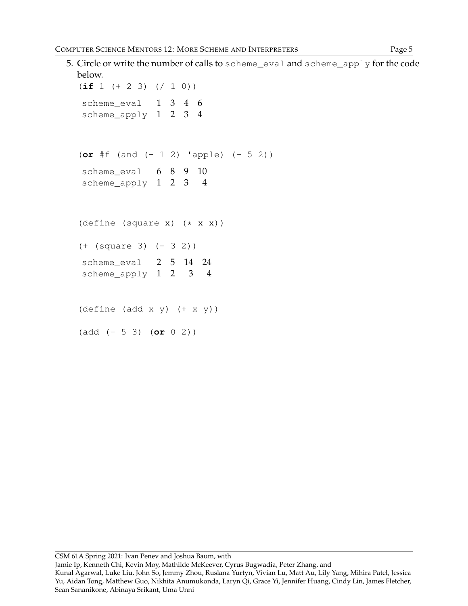```
5. Circle or write the number of calls to scheme_eval and scheme_apply for the code
  below.
  (if 1 (+ 2 3) (/ 1 0))
   scheme_eval 1 3 4 6
   scheme_apply 1 2 3 4
  (or #f (and (+ 1 2) 'apple) (- 5 2))
   scheme_eval 6 8 9 10
   scheme_apply 1 2 3 4
  (define (square x) (* x x))
  (+ (square 3) (- 3 2))
   scheme eval 2 5 14 24
   scheme_apply 1 2 3 4
  (\text{define } (\text{add } x \ y) \ (+ \ x \ y))(add (- 5 3) (or 0 2))
```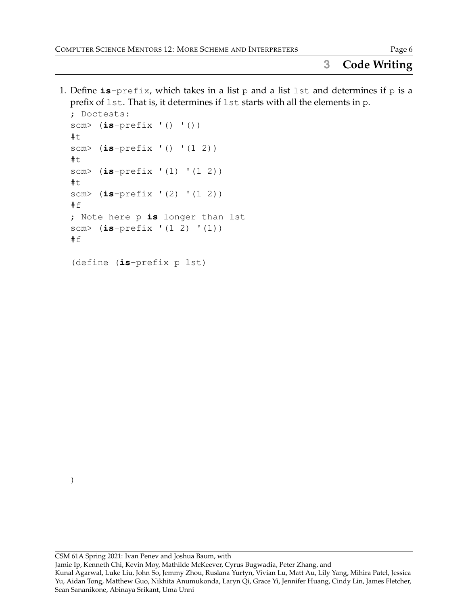1. Define  $is$ -prefix, which takes in a list p and a list lst and determines if p is a prefix of lst. That is, it determines if lst starts with all the elements in p.

```
; Doctests:
scm> (is-prefix '() '())
#t
scm> (is-prefix '() '(1 2))
#t
scm> (is-prefix '(1) '(1 2))
#t
scm> (is-prefix '(2) '(1 2))
#f
; Note here p is longer than lst
scm> (is-prefix '(1 2) '(1))
#f
```

```
(define (is-prefix p lst)
```
)